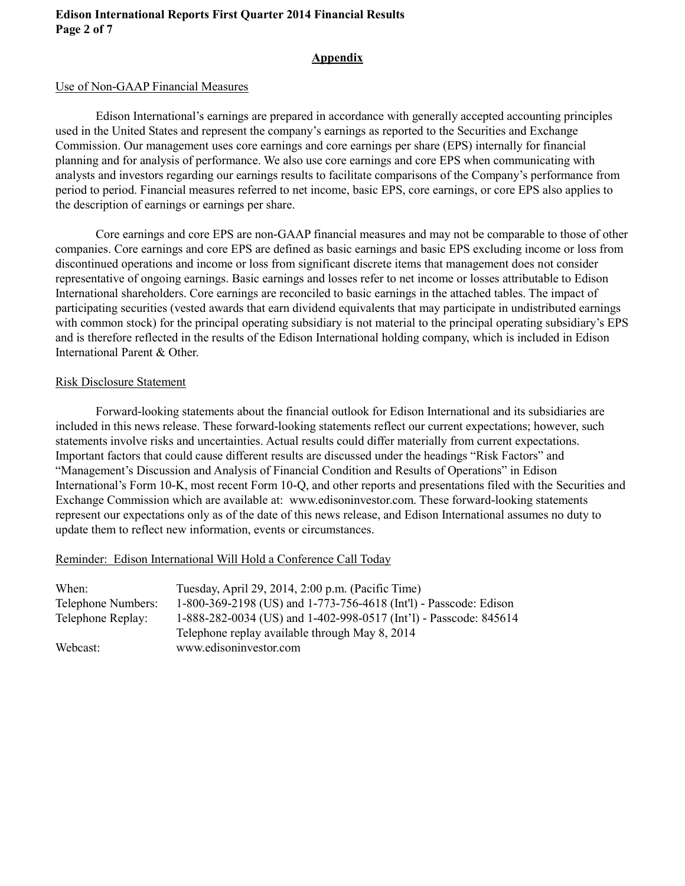### **Edison International Reports First Quarter 2014 Financial Results Page 2 of 7**

#### **Appendix**

#### Use of Non-GAAP Financial Measures

Edison International's earnings are prepared in accordance with generally accepted accounting principles used in the United States and represent the company's earnings as reported to the Securities and Exchange Commission. Our management uses core earnings and core earnings per share (EPS) internally for financial planning and for analysis of performance. We also use core earnings and core EPS when communicating with analysts and investors regarding our earnings results to facilitate comparisons of the Company's performance from period to period. Financial measures referred to net income, basic EPS, core earnings, or core EPS also applies to the description of earnings or earnings per share.

Core earnings and core EPS are non-GAAP financial measures and may not be comparable to those of other companies. Core earnings and core EPS are defined as basic earnings and basic EPS excluding income or loss from discontinued operations and income or loss from significant discrete items that management does not consider representative of ongoing earnings. Basic earnings and losses refer to net income or losses attributable to Edison International shareholders. Core earnings are reconciled to basic earnings in the attached tables. The impact of participating securities (vested awards that earn dividend equivalents that may participate in undistributed earnings with common stock) for the principal operating subsidiary is not material to the principal operating subsidiary's EPS and is therefore reflected in the results of the Edison International holding company, which is included in Edison International Parent & Other.

### Risk Disclosure Statement

Forward-looking statements about the financial outlook for Edison International and its subsidiaries are included in this news release. These forward-looking statements reflect our current expectations; however, such statements involve risks and uncertainties. Actual results could differ materially from current expectations. Important factors that could cause different results are discussed under the headings "Risk Factors" and "Management's Discussion and Analysis of Financial Condition and Results of Operations" in Edison International's Form 10-K, most recent Form 10-Q, and other reports and presentations filed with the Securities and Exchange Commission which are available at: www.edisoninvestor.com. These forward-looking statements represent our expectations only as of the date of this news release, and Edison International assumes no duty to update them to reflect new information, events or circumstances.

#### Reminder: Edison International Will Hold a Conference Call Today

| When:              | Tuesday, April 29, 2014, 2:00 p.m. (Pacific Time)                 |
|--------------------|-------------------------------------------------------------------|
| Telephone Numbers: | 1-800-369-2198 (US) and 1-773-756-4618 (Int'l) - Passcode: Edison |
| Telephone Replay:  | 1-888-282-0034 (US) and 1-402-998-0517 (Int'l) - Passcode: 845614 |
|                    | Telephone replay available through May 8, 2014                    |
| Webcast:           | www.edisoninvestor.com                                            |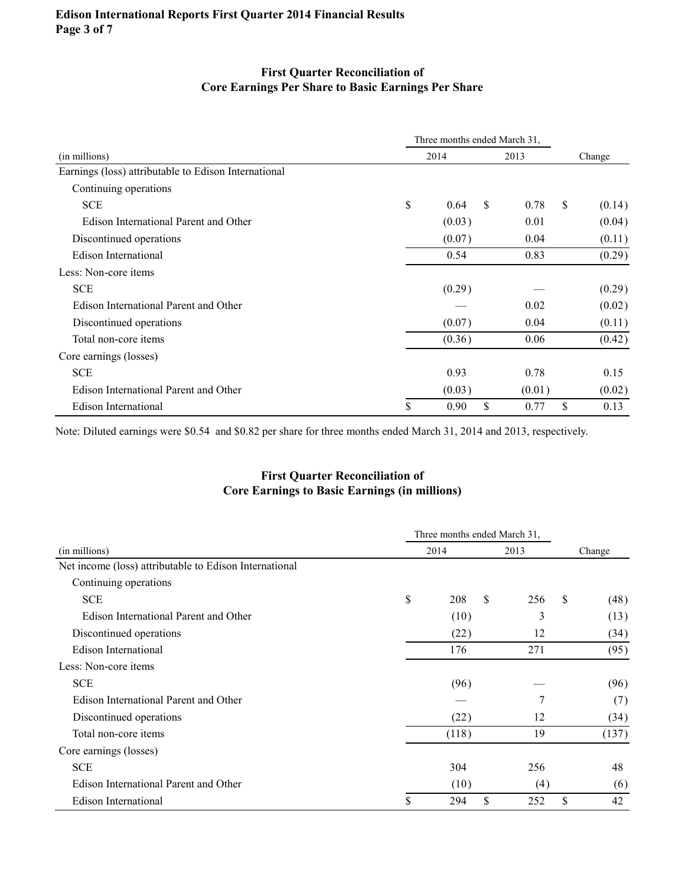# **First Quarter Reconciliation of Core Earnings Per Share to Basic Earnings Per Share**

|                                                      | Three months ended March 31, |            |        |               |        |
|------------------------------------------------------|------------------------------|------------|--------|---------------|--------|
| (in millions)                                        | 2014                         |            | 2013   | Change        |        |
| Earnings (loss) attributable to Edison International |                              |            |        |               |        |
| Continuing operations                                |                              |            |        |               |        |
| <b>SCE</b>                                           | \$                           | \$<br>0.64 | 0.78   | $\mathcal{S}$ | (0.14) |
| Edison International Parent and Other                |                              | (0.03)     | 0.01   |               | (0.04) |
| Discontinued operations                              |                              | (0.07)     | 0.04   |               | (0.11) |
| Edison International                                 |                              | 0.54       | 0.83   |               | (0.29) |
| Less: Non-core items                                 |                              |            |        |               |        |
| <b>SCE</b>                                           |                              | (0.29)     |        |               | (0.29) |
| Edison International Parent and Other                |                              |            | 0.02   |               | (0.02) |
| Discontinued operations                              |                              | (0.07)     | 0.04   |               | (0.11) |
| Total non-core items                                 |                              | (0.36)     | 0.06   |               | (0.42) |
| Core earnings (losses)                               |                              |            |        |               |        |
| <b>SCE</b>                                           |                              | 0.93       | 0.78   |               | 0.15   |
| Edison International Parent and Other                |                              | (0.03)     | (0.01) |               | (0.02) |
| Edison International                                 | \$                           | \$<br>0.90 | 0.77   | \$.           | 0.13   |

Note: Diluted earnings were \$0.54 and \$0.82 per share for three months ended March 31, 2014 and 2013, respectively.

# **First Quarter Reconciliation of Core Earnings to Basic Earnings (in millions)**

|                                                        | Three months ended March 31, |           |      |    |        |  |
|--------------------------------------------------------|------------------------------|-----------|------|----|--------|--|
| (in millions)                                          | 2014                         |           | 2013 |    | Change |  |
| Net income (loss) attributable to Edison International |                              |           |      |    |        |  |
| Continuing operations                                  |                              |           |      |    |        |  |
| <b>SCE</b>                                             | \$                           | \$<br>208 | 256  | \$ | (48)   |  |
| Edison International Parent and Other                  |                              | (10)      | 3    |    | (13)   |  |
| Discontinued operations                                |                              | (22)      | 12   |    | (34)   |  |
| Edison International                                   |                              | 176       | 271  |    | (95)   |  |
| Less: Non-core items                                   |                              |           |      |    |        |  |
| <b>SCE</b>                                             |                              | (96)      |      |    | (96)   |  |
| Edison International Parent and Other                  |                              |           | 7    |    | (7)    |  |
| Discontinued operations                                |                              | (22)      | 12   |    | (34)   |  |
| Total non-core items                                   |                              | (118)     | 19   |    | (137)  |  |
| Core earnings (losses)                                 |                              |           |      |    |        |  |
| <b>SCE</b>                                             |                              | 304       | 256  |    | 48     |  |
| Edison International Parent and Other                  |                              | (10)      | (4)  |    | (6)    |  |
| Edison International                                   | \$                           | \$<br>294 | 252  | \$ | 42     |  |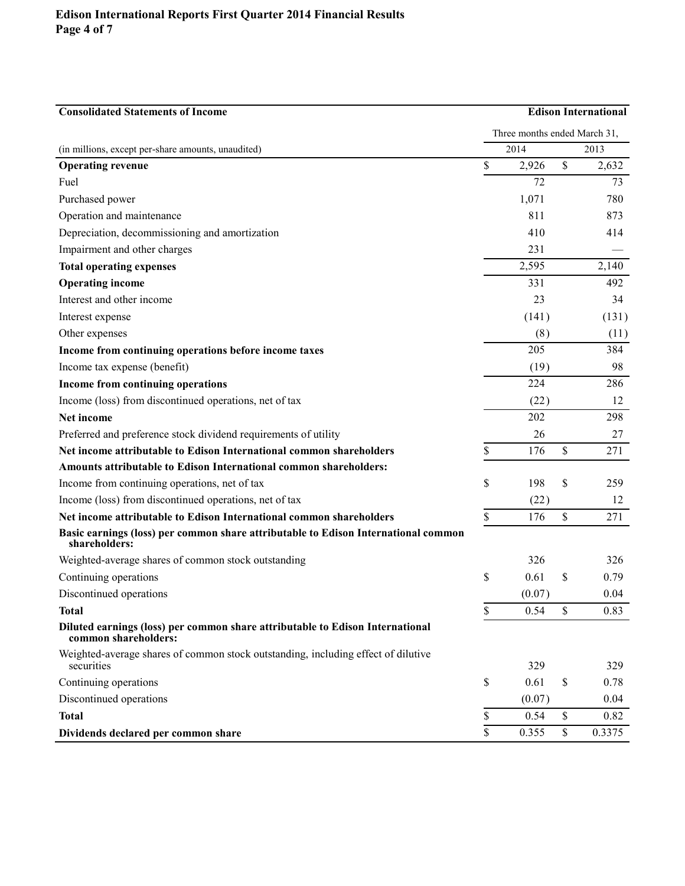| <b>Consolidated Statements of Income</b>                                                              |      | <b>Edison International</b>  |             |        |  |  |
|-------------------------------------------------------------------------------------------------------|------|------------------------------|-------------|--------|--|--|
|                                                                                                       |      | Three months ended March 31, |             |        |  |  |
| (in millions, except per-share amounts, unaudited)                                                    |      | 2014                         |             | 2013   |  |  |
| <b>Operating revenue</b>                                                                              | $\$$ | 2,926                        | $\$$        | 2,632  |  |  |
| Fuel                                                                                                  |      | 72                           |             | 73     |  |  |
| Purchased power                                                                                       |      | 1,071                        |             | 780    |  |  |
| Operation and maintenance                                                                             |      | 811                          |             | 873    |  |  |
| Depreciation, decommissioning and amortization                                                        |      | 410                          |             | 414    |  |  |
| Impairment and other charges                                                                          |      | 231                          |             |        |  |  |
| <b>Total operating expenses</b>                                                                       |      | 2,595                        |             | 2,140  |  |  |
| <b>Operating income</b>                                                                               |      | 331                          |             | 492    |  |  |
| Interest and other income                                                                             |      | 23                           |             | 34     |  |  |
| Interest expense                                                                                      |      | (141)                        |             | (131)  |  |  |
| Other expenses                                                                                        |      | (8)                          |             | (11)   |  |  |
| Income from continuing operations before income taxes                                                 |      | 205                          |             | 384    |  |  |
| Income tax expense (benefit)                                                                          |      | (19)                         |             | 98     |  |  |
| Income from continuing operations                                                                     |      | 224                          |             | 286    |  |  |
| Income (loss) from discontinued operations, net of tax                                                |      | (22)                         |             | 12     |  |  |
| Net income                                                                                            |      | 202                          |             | 298    |  |  |
| Preferred and preference stock dividend requirements of utility                                       |      | 26                           |             | 27     |  |  |
| Net income attributable to Edison International common shareholders                                   | \$   | 176                          | \$          | 271    |  |  |
| Amounts attributable to Edison International common shareholders:                                     |      |                              |             |        |  |  |
| Income from continuing operations, net of tax                                                         | \$   | 198                          | \$          | 259    |  |  |
| Income (loss) from discontinued operations, net of tax                                                |      | (22)                         |             | 12     |  |  |
| Net income attributable to Edison International common shareholders                                   | \$   | 176                          | $\$$        | 271    |  |  |
| Basic earnings (loss) per common share attributable to Edison International common<br>shareholders:   |      |                              |             |        |  |  |
| Weighted-average shares of common stock outstanding                                                   |      | 326                          |             | 326    |  |  |
| Continuing operations                                                                                 | \$   | 0.61                         | \$          | 0.79   |  |  |
| Discontinued operations                                                                               |      | (0.07)                       |             | 0.04   |  |  |
| <b>Total</b>                                                                                          | \$   | 0.54                         | \$          | 0.83   |  |  |
| Diluted earnings (loss) per common share attributable to Edison International<br>common shareholders: |      |                              |             |        |  |  |
| Weighted-average shares of common stock outstanding, including effect of dilutive<br>securities       |      | 329                          |             | 329    |  |  |
| Continuing operations                                                                                 | \$   | 0.61                         | \$          | 0.78   |  |  |
| Discontinued operations                                                                               |      | (0.07)                       |             | 0.04   |  |  |
| <b>Total</b>                                                                                          | \$   | 0.54                         | \$          | 0.82   |  |  |
| Dividends declared per common share                                                                   | \$   | 0.355                        | $\mathbb S$ | 0.3375 |  |  |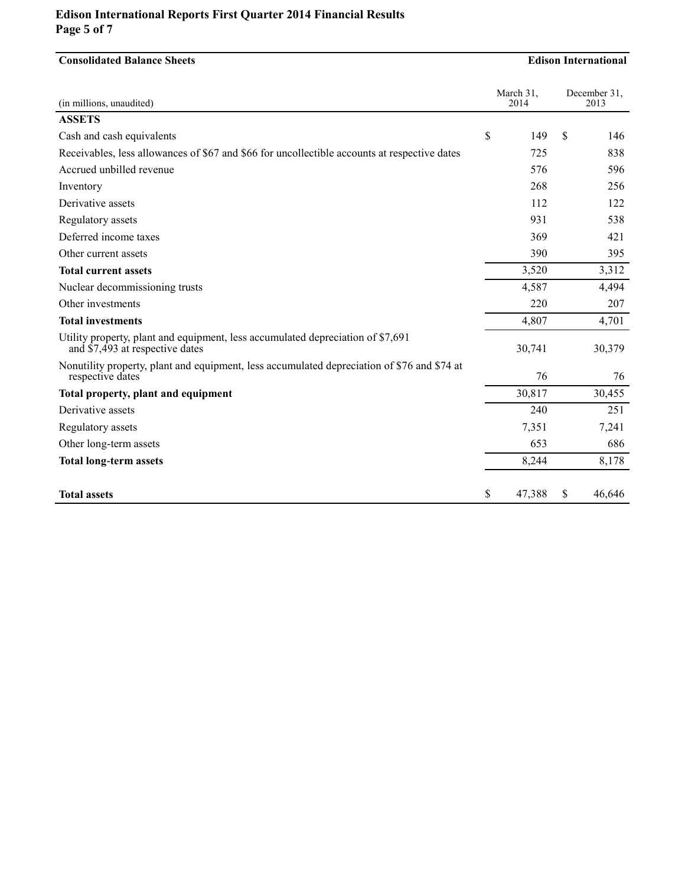# **Edison International Reports First Quarter 2014 Financial Results Page 5 of 7**

| <b>Consolidated Balance Sheets</b>                                                                                 | <b>Edison International</b> |                   |       |                      |  |  |
|--------------------------------------------------------------------------------------------------------------------|-----------------------------|-------------------|-------|----------------------|--|--|
| (in millions, unaudited)                                                                                           |                             | March 31,<br>2014 |       | December 31,<br>2013 |  |  |
| <b>ASSETS</b>                                                                                                      |                             |                   |       |                      |  |  |
| Cash and cash equivalents                                                                                          | \$                          | 149               | \$    | 146                  |  |  |
| Receivables, less allowances of \$67 and \$66 for uncollectible accounts at respective dates                       |                             | 725               |       | 838                  |  |  |
| Accrued unbilled revenue                                                                                           |                             | 576               |       | 596                  |  |  |
| Inventory                                                                                                          |                             | 268               |       | 256                  |  |  |
| Derivative assets                                                                                                  |                             | 112               |       | 122                  |  |  |
| Regulatory assets                                                                                                  |                             | 931               |       | 538                  |  |  |
| Deferred income taxes                                                                                              |                             | 369               |       | 421                  |  |  |
| Other current assets                                                                                               |                             | 390               |       | 395                  |  |  |
| <b>Total current assets</b>                                                                                        |                             | 3,520             |       | 3,312                |  |  |
| Nuclear decommissioning trusts                                                                                     |                             | 4,587             |       | 4,494                |  |  |
| Other investments                                                                                                  |                             | 220               |       | 207                  |  |  |
| <b>Total investments</b>                                                                                           |                             | 4,807             |       | 4,701                |  |  |
| Utility property, plant and equipment, less accumulated depreciation of \$7,691<br>and \$7,493 at respective dates |                             | 30,741            |       | 30,379               |  |  |
| Nonutility property, plant and equipment, less accumulated depreciation of \$76 and \$74 at<br>respective dates    |                             | 76                |       | 76                   |  |  |
| Total property, plant and equipment                                                                                |                             | 30,817            |       | 30,455               |  |  |
| Derivative assets                                                                                                  |                             | 240               |       | 251                  |  |  |
| Regulatory assets                                                                                                  |                             | 7,351             |       | 7,241                |  |  |
| Other long-term assets                                                                                             |                             | 653               |       | 686                  |  |  |
| <b>Total long-term assets</b>                                                                                      | 8,244                       |                   | 8,178 |                      |  |  |
| <b>Total assets</b>                                                                                                | \$                          | 47,388            | \$    | 46,646               |  |  |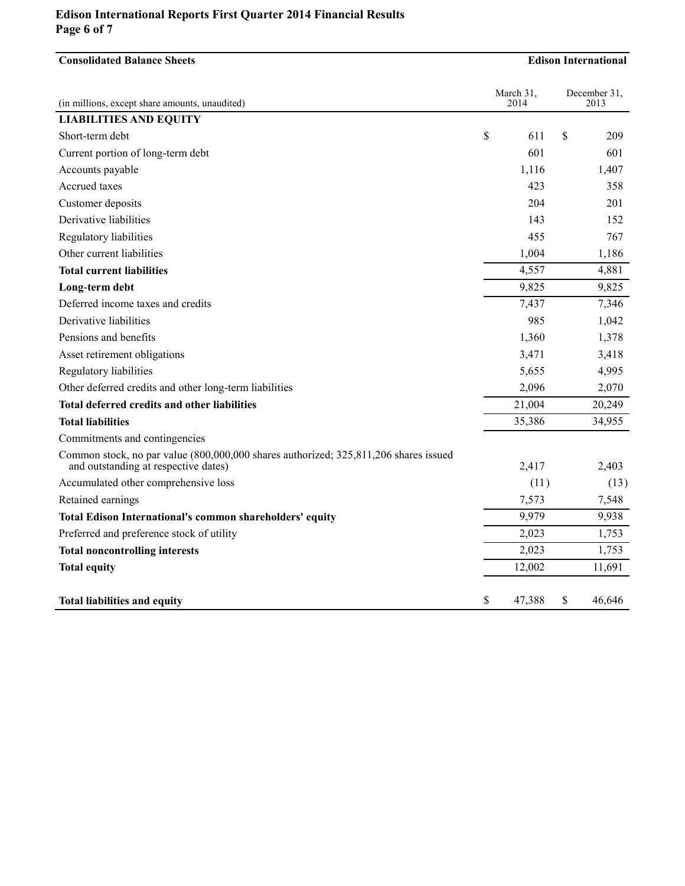# **Edison International Reports First Quarter 2014 Financial Results Page 6 of 7**

| <b>Consolidated Balance Sheets</b>                                                                                           | <b>Edison International</b> |                   |    |                      |  |
|------------------------------------------------------------------------------------------------------------------------------|-----------------------------|-------------------|----|----------------------|--|
| (in millions, except share amounts, unaudited)                                                                               |                             | March 31,<br>2014 |    | December 31,<br>2013 |  |
| <b>LIABILITIES AND EQUITY</b>                                                                                                |                             |                   |    |                      |  |
| Short-term debt                                                                                                              | \$                          | 611               | \$ | 209                  |  |
| Current portion of long-term debt                                                                                            |                             | 601               |    | 601                  |  |
| Accounts payable                                                                                                             |                             | 1,116             |    | 1,407                |  |
| Accrued taxes                                                                                                                |                             | 423               |    | 358                  |  |
| Customer deposits                                                                                                            |                             | 204               |    | 201                  |  |
| Derivative liabilities                                                                                                       |                             | 143               |    | 152                  |  |
| Regulatory liabilities                                                                                                       |                             | 455               |    | 767                  |  |
| Other current liabilities                                                                                                    |                             | 1,004             |    | 1,186                |  |
| <b>Total current liabilities</b>                                                                                             |                             | 4,557             |    | 4,881                |  |
| Long-term debt                                                                                                               |                             | 9,825             |    | 9,825                |  |
| Deferred income taxes and credits                                                                                            |                             | 7,437             |    | 7,346                |  |
| Derivative liabilities                                                                                                       |                             | 985               |    | 1,042                |  |
| Pensions and benefits                                                                                                        |                             | 1,360             |    | 1,378                |  |
| Asset retirement obligations                                                                                                 |                             | 3,471             |    | 3,418                |  |
| Regulatory liabilities                                                                                                       |                             | 5,655             |    | 4,995                |  |
| Other deferred credits and other long-term liabilities                                                                       |                             | 2,096             |    | 2,070                |  |
| Total deferred credits and other liabilities                                                                                 |                             | 21,004            |    | 20,249               |  |
| <b>Total liabilities</b>                                                                                                     |                             | 35,386            |    | 34,955               |  |
| Commitments and contingencies                                                                                                |                             |                   |    |                      |  |
| Common stock, no par value (800,000,000 shares authorized; 325,811,206 shares issued<br>and outstanding at respective dates) |                             | 2,417             |    | 2,403                |  |
| Accumulated other comprehensive loss                                                                                         |                             | (11)              |    | (13)                 |  |
| Retained earnings                                                                                                            |                             | 7,573             |    | 7,548                |  |
| Total Edison International's common shareholders' equity                                                                     |                             | 9,979             |    | 9,938                |  |
| Preferred and preference stock of utility                                                                                    |                             | 2,023             |    | 1,753                |  |
| <b>Total noncontrolling interests</b>                                                                                        |                             | 2,023             |    | 1,753                |  |
| <b>Total equity</b>                                                                                                          |                             | 12,002            |    | 11,691               |  |
| <b>Total liabilities and equity</b>                                                                                          | \$                          | 47,388            | \$ | 46,646               |  |